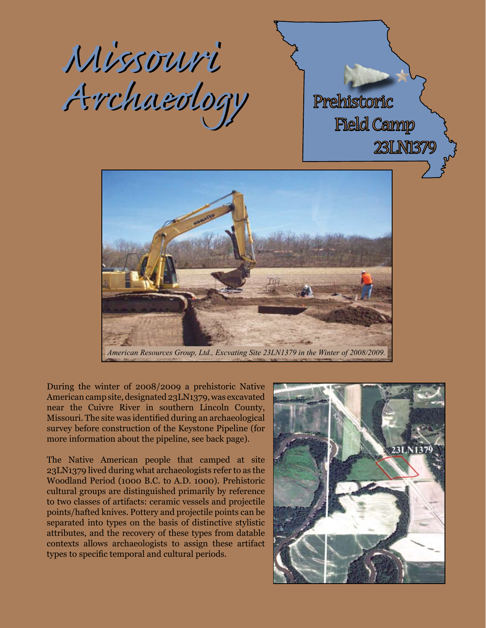



*American Resources Group, Ltd., Excvating Site 23LN1379 in the Winter of 2008/2009.*

During the winter of 2008/2009 a prehistoric Native American camp site, designated 23LN1379, was excavated near the Cuivre River in southern Lincoln County, Missouri. The site was identified during an archaeological survey before construction of the Keystone Pipeline (for more information about the pipeline, see back page).

The Native American people that camped at site 23LN1379 lived during what archaeologists refer to as the Woodland Period (1000 B.C. to A.D. 1000). Prehistoric cultural groups are distinguished primarily by reference to two classes of artifacts: ceramic vessels and projectile points/hafted knives. Pottery and projectile points can be separated into types on the basis of distinctive stylistic attributes, and the recovery of these types from datable contexts allows archaeologists to assign these artifact types to specific temporal and cultural periods.

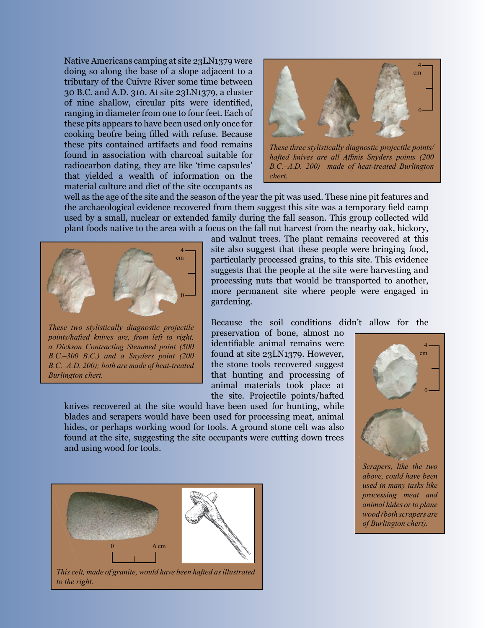Native Americans camping at site 23LN1379 were doing so along the base of a slope adjacent to a tributary of the Cuivre River some time between 30 B.C. and A.D. 310. At site 23LN1379, a cluster of nine shallow, circular pits were identified, ranging in diameter from one to four feet. Each of these pits appears to have been used only once for cooking beofre being filled with refuse. Because these pits contained artifacts and food remains found in association with charcoal suitable for radiocarbon dating, they are like 'time capsules' that yielded a wealth of information on the material culture and diet of the site occupants as



*hafted knives are all Affinis Snyders points (200 B.C.–A.D. 200) made of heat-treated Burlington chert.*

well as the age of the site and the season of the year the pit was used. These nine pit features and the archaeological evidence recovered from them suggest this site was a temporary field camp used by a small, nuclear or extended family during the fall season. This group collected wild plant foods native to the area with a focus on the fall nut harvest from the nearby oak, hickory,



*These two stylistically diagnostic projectile points/hafted knives are, from left to right, a Dickson Contracting Stemmed point (500 B.C.–300 B.C.) and a Snyders point (200 B.C.–A.D. 200); both are made of heat-treated Burlington chert.*

and walnut trees. The plant remains recovered at this site also suggest that these people were bringing food, particularly processed grains, to this site. This evidence suggests that the people at the site were harvesting and processing nuts that would be transported to another, more permanent site where people were engaged in gardening.

Because the soil conditions didn't allow for the

preservation of bone, almost no identifiable animal remains were found at site 23LN1379. However, the stone tools recovered suggest that hunting and processing of animal materials took place at the site. Projectile points/hafted

knives recovered at the site would have been used for hunting, while blades and scrapers would have been used for processing meat, animal hides, or perhaps working wood for tools. A ground stone celt was also found at the site, suggesting the site occupants were cutting down trees and using wood for tools.



0

4 cm

*Scrapers, like the two above, could have been used in many tasks like processing meat and animal hides or to plane wood (both scrapers are of Burlington chert).*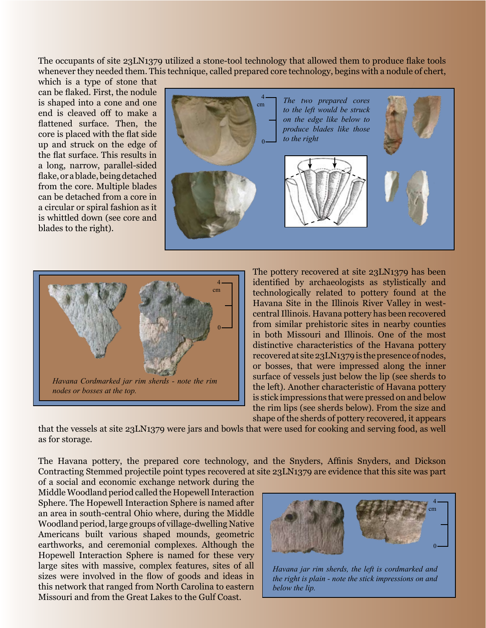The occupants of site 23LN1379 utilized a stone-tool technology that allowed them to produce flake tools whenever they needed them. This technique, called prepared core technology, begins with a nodule of chert,

which is a type of stone that can be flaked. First, the nodule is shaped into a cone and one end is cleaved off to make a flattened surface. Then, the core is placed with the flat side up and struck on the edge of the flat surface. This results in a long, narrow, parallel-sided flake, or a blade, being detached from the core. Multiple blades can be detached from a core in a circular or spiral fashion as it is whittled down (see core and blades to the right).





The pottery recovered at site 23LN1379 has been identified by archaeologists as stylistically and technologically related to pottery found at the Havana Site in the Illinois River Valley in westcentral Illinois. Havana pottery has been recovered from similar prehistoric sites in nearby counties in both Missouri and Illinois. One of the most distinctive characteristics of the Havana pottery recovered at site 23LN1379 is the presence of nodes, or bosses, that were impressed along the inner surface of vessels just below the lip (see sherds to the left). Another characteristic of Havana pottery is stick impressions that were pressed on and below the rim lips (see sherds below). From the size and shape of the sherds of pottery recovered, it appears

that the vessels at site 23LN1379 were jars and bowls that were used for cooking and serving food, as well as for storage.

The Havana pottery, the prepared core technology, and the Snyders, Affinis Snyders, and Dickson Contracting Stemmed projectile point types recovered at site 23LN1379 are evidence that this site was part

of a social and economic exchange network during the Middle Woodland period called the Hopewell Interaction Sphere. The Hopewell Interaction Sphere is named after an area in south-central Ohio where, during the Middle Woodland period, large groups of village-dwelling Native Americans built various shaped mounds, geometric earthworks, and ceremonial complexes. Although the Hopewell Interaction Sphere is named for these very large sites with massive, complex features, sites of all sizes were involved in the flow of goods and ideas in this network that ranged from North Carolina to eastern Missouri and from the Great Lakes to the Gulf Coast.



*Havana jar rim sherds, the left is cordmarked and the right is plain - note the stick impressions on and below the lip.*